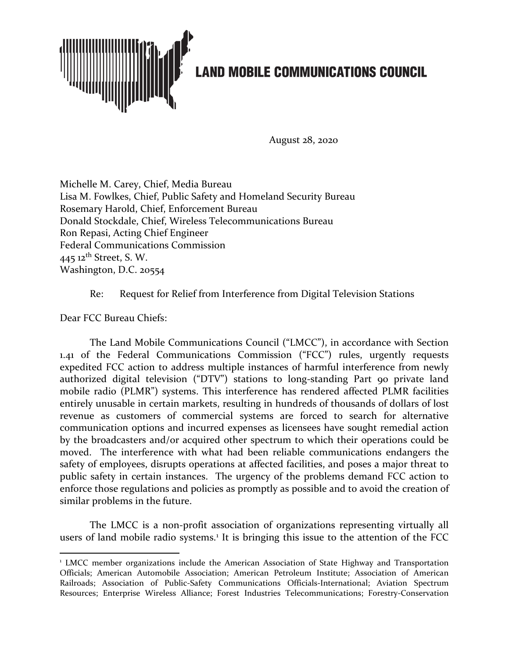

August 28, 2020

Michelle M. Carey, Chief, Media Bureau Lisa M. Fowlkes, Chief, Public Safety and Homeland Security Bureau Rosemary Harold, Chief, Enforcement Bureau Donald Stockdale, Chief, Wireless Telecommunications Bureau Ron Repasi, Acting Chief Engineer Federal Communications Commission 445  $12$ <sup>th</sup> Street, S. W. Washington, D.C. 20554

Re: Request for Relief from Interference from Digital Television Stations

Dear FCC Bureau Chiefs:

The Land Mobile Communications Council ("LMCC"), in accordance with Section 1.41 of the Federal Communications Commission ("FCC") rules, urgently requests expedited FCC action to address multiple instances of harmful interference from newly authorized digital television ("DTV") stations to long-standing Part 90 private land mobile radio (PLMR") systems. This interference has rendered affected PLMR facilities entirely unusable in certain markets, resulting in hundreds of thousands of dollars of lost revenue as customers of commercial systems are forced to search for alternative communication options and incurred expenses as licensees have sought remedial action by the broadcasters and/or acquired other spectrum to which their operations could be moved. The interference with what had been reliable communications endangers the safety of employees, disrupts operations at affected facilities, and poses a major threat to public safety in certain instances. The urgency of the problems demand FCC action to enforce those regulations and policies as promptly as possible and to avoid the creation of similar problems in the future.

The LMCC is a non-profit association of organizations representing virtually all users of land mobile radio systems.<sup>[1](#page-0-0)</sup> It is bringing this issue to the attention of the FCC

<span id="page-0-0"></span><sup>&</sup>lt;sup>1</sup> LMCC member organizations include the American Association of State Highway and Transportation Officials; American Automobile Association; American Petroleum Institute; Association of American Railroads; Association of Public-Safety Communications Officials-International; Aviation Spectrum Resources; Enterprise Wireless Alliance; Forest Industries Telecommunications; Forestry-Conservation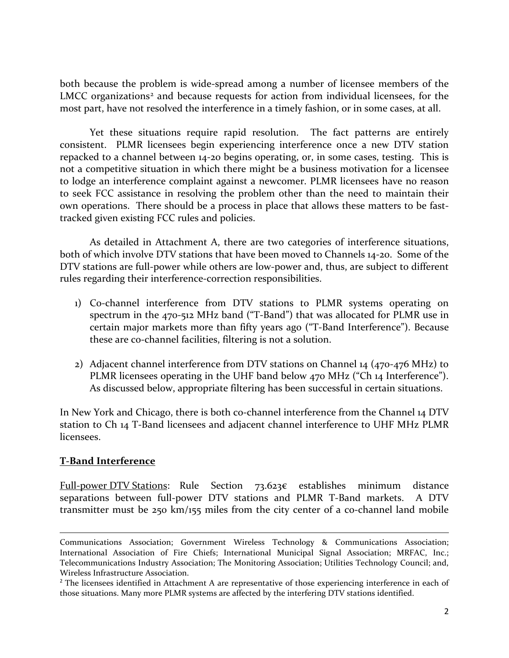both because the problem is wide-spread among a number of licensee members of the LMCC organizations<sup>[2](#page-1-0)</sup> and because requests for action from individual licensees, for the most part, have not resolved the interference in a timely fashion, or in some cases, at all.

Yet these situations require rapid resolution. The fact patterns are entirely consistent. PLMR licensees begin experiencing interference once a new DTV station repacked to a channel between 14-20 begins operating, or, in some cases, testing. This is not a competitive situation in which there might be a business motivation for a licensee to lodge an interference complaint against a newcomer. PLMR licensees have no reason to seek FCC assistance in resolving the problem other than the need to maintain their own operations. There should be a process in place that allows these matters to be fasttracked given existing FCC rules and policies.

As detailed in Attachment A, there are two categories of interference situations, both of which involve DTV stations that have been moved to Channels 14-20. Some of the DTV stations are full-power while others are low-power and, thus, are subject to different rules regarding their interference-correction responsibilities.

- 1) Co-channel interference from DTV stations to PLMR systems operating on spectrum in the 470-512 MHz band ("T-Band") that was allocated for PLMR use in certain major markets more than fifty years ago ("T-Band Interference"). Because these are co-channel facilities, filtering is not a solution.
- 2) Adjacent channel interference from DTV stations on Channel 14 (470-476 MHz) to PLMR licensees operating in the UHF band below 470 MHz ("Ch 14 Interference"). As discussed below, appropriate filtering has been successful in certain situations.

In New York and Chicago, there is both co-channel interference from the Channel 14 DTV station to Ch 14 T-Band licensees and adjacent channel interference to UHF MHz PLMR licensees.

#### **T-Band Interference**

Full-power DTV Stations: Rule Section 73.623€ establishes minimum distance separations between full-power DTV stations and PLMR T-Band markets. A DTV transmitter must be 250 km/155 miles from the city center of a co-channel land mobile

Communications Association; Government Wireless Technology & Communications Association; International Association of Fire Chiefs; International Municipal Signal Association; MRFAC, Inc.; Telecommunications Industry Association; The Monitoring Association; Utilities Technology Council; and, Wireless Infrastructure Association.

<span id="page-1-0"></span><sup>&</sup>lt;sup>2</sup> The licensees identified in Attachment A are representative of those experiencing interference in each of those situations. Many more PLMR systems are affected by the interfering DTV stations identified.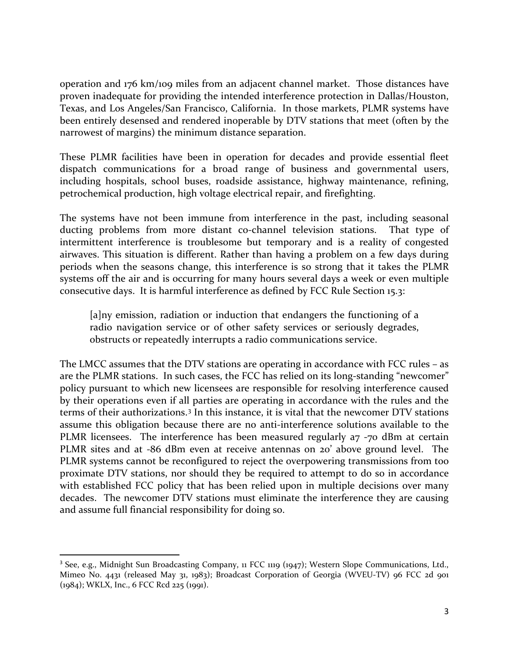operation and 176 km/109 miles from an adjacent channel market. Those distances have proven inadequate for providing the intended interference protection in Dallas/Houston, Texas, and Los Angeles/San Francisco, California. In those markets, PLMR systems have been entirely desensed and rendered inoperable by DTV stations that meet (often by the narrowest of margins) the minimum distance separation.

These PLMR facilities have been in operation for decades and provide essential fleet dispatch communications for a broad range of business and governmental users, including hospitals, school buses, roadside assistance, highway maintenance, refining, petrochemical production, high voltage electrical repair, and firefighting.

The systems have not been immune from interference in the past, including seasonal ducting problems from more distant co-channel television stations. That type of intermittent interference is troublesome but temporary and is a reality of congested airwaves. This situation is different. Rather than having a problem on a few days during periods when the seasons change, this interference is so strong that it takes the PLMR systems off the air and is occurring for many hours several days a week or even multiple consecutive days. It is harmful interference as defined by FCC Rule Section 15.3:

[a]ny emission, radiation or induction that endangers the functioning of a radio navigation service or of other safety services or seriously degrades, obstructs or repeatedly interrupts a radio communications service.

The LMCC assumes that the DTV stations are operating in accordance with FCC rules – as are the PLMR stations. In such cases, the FCC has relied on its long-standing "newcomer" policy pursuant to which new licensees are responsible for resolving interference caused by their operations even if all parties are operating in accordance with the rules and the terms of their authorizations.[3](#page-2-0) In this instance, it is vital that the newcomer DTV stations assume this obligation because there are no anti-interference solutions available to the PLMR licensees. The interference has been measured regularly a7 -70 dBm at certain PLMR sites and at -86 dBm even at receive antennas on 20' above ground level. The PLMR systems cannot be reconfigured to reject the overpowering transmissions from too proximate DTV stations, nor should they be required to attempt to do so in accordance with established FCC policy that has been relied upon in multiple decisions over many decades. The newcomer DTV stations must eliminate the interference they are causing and assume full financial responsibility for doing so.

<span id="page-2-0"></span><sup>&</sup>lt;sup>3</sup> See, e.g., Midnight Sun Broadcasting Company, 11 FCC 1119 (1947); Western Slope Communications, Ltd., Mimeo No. 4431 (released May 31, 1983); Broadcast Corporation of Georgia (WVEU-TV) 96 FCC 2d 901 (1984); WKLX, Inc., 6 FCC Rcd 225 (1991).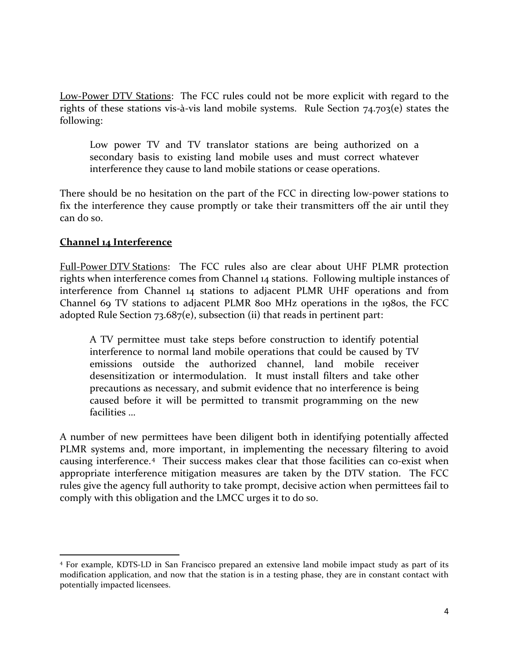Low-Power DTV Stations: The FCC rules could not be more explicit with regard to the rights of these stations vis-à-vis land mobile systems. Rule Section 74.703(e) states the following:

Low power TV and TV translator stations are being authorized on a secondary basis to existing land mobile uses and must correct whatever interference they cause to land mobile stations or cease operations.

There should be no hesitation on the part of the FCC in directing low-power stations to fix the interference they cause promptly or take their transmitters off the air until they can do so.

#### **Channel 14 Interference**

Full-Power DTV Stations: The FCC rules also are clear about UHF PLMR protection rights when interference comes from Channel 14 stations. Following multiple instances of interference from Channel 14 stations to adjacent PLMR UHF operations and from Channel 69 TV stations to adjacent PLMR 800 MHz operations in the 1980s, the FCC adopted Rule Section 73.687(e), subsection (ii) that reads in pertinent part:

A TV permittee must take steps before construction to identify potential interference to normal land mobile operations that could be caused by TV emissions outside the authorized channel, land mobile receiver desensitization or intermodulation. It must install filters and take other precautions as necessary, and submit evidence that no interference is being caused before it will be permitted to transmit programming on the new facilities …

A number of new permittees have been diligent both in identifying potentially affected PLMR systems and, more important, in implementing the necessary filtering to avoid causing interference.[4](#page-3-0) Their success makes clear that those facilities can c0-exist when appropriate interference mitigation measures are taken by the DTV station. The FCC rules give the agency full authority to take prompt, decisive action when permittees fail to comply with this obligation and the LMCC urges it to do so.

<span id="page-3-0"></span><sup>4</sup> For example, KDTS-LD in San Francisco prepared an extensive land mobile impact study as part of its modification application, and now that the station is in a testing phase, they are in constant contact with potentially impacted licensees.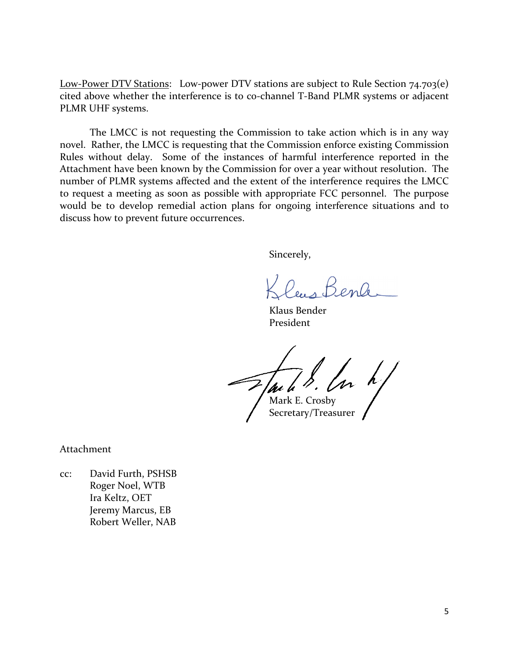Low-Power DTV Stations: Low-power DTV stations are subject to Rule Section 74.703(e) cited above whether the interference is to co-channel T-Band PLMR systems or adjacent PLMR UHF systems.

The LMCC is not requesting the Commission to take action which is in any way novel. Rather, the LMCC is requesting that the Commission enforce existing Commission Rules without delay. Some of the instances of harmful interference reported in the Attachment have been known by the Commission for over a year without resolution. The number of PLMR systems affected and the extent of the interference requires the LMCC to request a meeting as soon as possible with appropriate FCC personnel. The purpose would be to develop remedial action plans for ongoing interference situations and to discuss how to prevent future occurrences.

Sincerely,

leus Benk

Klaus Bender President

 $M$ ark E. Crosby

Secretary/Treasurer

Attachment

cc: David Furth, PSHSB Roger Noel, WTB Ira Keltz, OET Jeremy Marcus, EB Robert Weller, NAB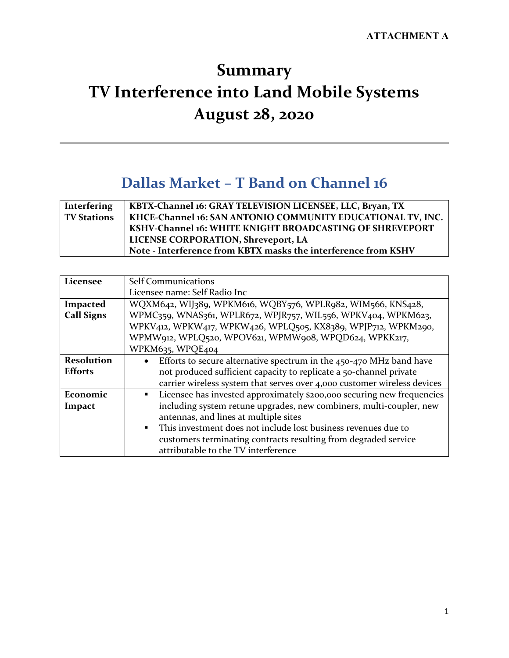# **Summary TV Interference into Land Mobile Systems August 28, 2020**

#### **Dallas Market – T Band on Channel 16**

| <b>Interfering</b> | KBTX-Channel 16: GRAY TELEVISION LICENSEE, LLC, Bryan, TX      |
|--------------------|----------------------------------------------------------------|
| <b>TV Stations</b> | KHCE-Channel 16: SAN ANTONIO COMMUNITY EDUCATIONAL TV, INC.    |
|                    | KSHV-Channel 16: WHITE KNIGHT BROADCASTING OF SHREVEPORT       |
|                    | LICENSE CORPORATION, Shreveport, LA                            |
|                    | Note - Interference from KBTX masks the interference from KSHV |

| Licensee          | <b>Self Communications</b>                                                               |
|-------------------|------------------------------------------------------------------------------------------|
|                   | Licensee name: Self Radio Inc                                                            |
| Impacted          | WQXM642, WIJ389, WPKM616, WQBY576, WPLR982, WIM566, KNS428,                              |
| <b>Call Signs</b> | WPMC359, WNAS361, WPLR672, WPJR757, WIL556, WPKV404, WPKM623,                            |
|                   | WPKV412, WPKW417, WPKW426, WPLQ505, KX8389, WPJP712, WPKM290,                            |
|                   | WPMW912, WPLQ520, WPOV621, WPMW908, WPQD624, WPKK217,                                    |
|                   | WPKM635, WPQE404                                                                         |
| <b>Resolution</b> | Efforts to secure alternative spectrum in the $450-470$ MHz band have<br>$\bullet$       |
| <b>Efforts</b>    | not produced sufficient capacity to replicate a 50-channel private                       |
|                   | carrier wireless system that serves over 4,000 customer wireless devices                 |
| Economic          | Licensee has invested approximately \$200,000 securing new frequencies<br>$\blacksquare$ |
| Impact            | including system retune upgrades, new combiners, multi-coupler, new                      |
|                   | antennas, and lines at multiple sites                                                    |
|                   | This investment does not include lost business revenues due to<br>$\blacksquare$         |
|                   | customers terminating contracts resulting from degraded service                          |
|                   | attributable to the TV interference                                                      |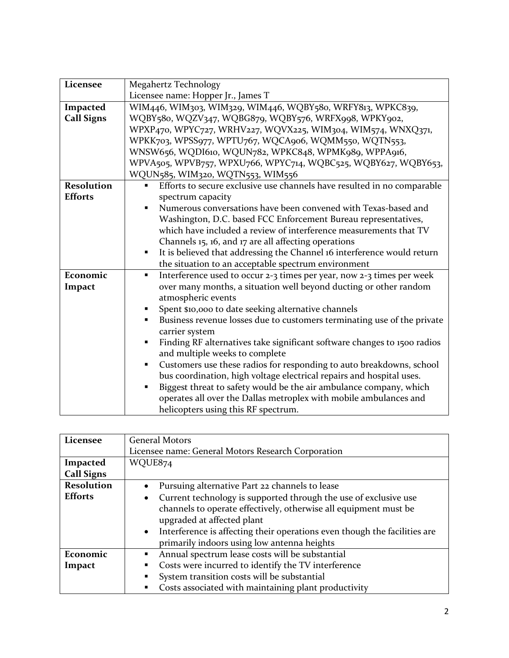| Licensee          | Megahertz Technology                                                                    |
|-------------------|-----------------------------------------------------------------------------------------|
|                   | Licensee name: Hopper Jr., James T                                                      |
| Impacted          | WIM446, WIM303, WIM329, WIM446, WQBY580, WRFY813, WPKC839,                              |
| <b>Call Signs</b> | WQBY580, WQZV347, WQBG879, WQBY576, WRFX998, WPKY902,                                   |
|                   | WPXP470, WPYC727, WRHV227, WQVX225, WIM304, WIM574, WNXQ371,                            |
|                   | WPKK703, WPSS977, WPTU767, WQCA906, WQMM550, WQTN553,                                   |
|                   | WNSW656, WQDI610, WQUN782, WPKC848, WPMK989, WPPA916,                                   |
|                   | WPVA505, WPVB757, WPXU766, WPYC714, WQBC525, WQBY627, WQBY653,                          |
|                   | WQUN585, WIM320, WQTN553, WIM556                                                        |
| <b>Resolution</b> | Efforts to secure exclusive use channels have resulted in no comparable                 |
| <b>Efforts</b>    | spectrum capacity                                                                       |
|                   | Numerous conversations have been convened with Texas-based and                          |
|                   | Washington, D.C. based FCC Enforcement Bureau representatives,                          |
|                   | which have included a review of interference measurements that TV                       |
|                   | Channels 15, 16, and 17 are all affecting operations                                    |
|                   | It is believed that addressing the Channel 16 interference would return                 |
|                   | the situation to an acceptable spectrum environment                                     |
| Economic          | Interference used to occur 2-3 times per year, now 2-3 times per week<br>$\blacksquare$ |
| Impact            | over many months, a situation well beyond ducting or other random                       |
|                   | atmospheric events                                                                      |
|                   | Spent \$10,000 to date seeking alternative channels                                     |
|                   | Business revenue losses due to customers terminating use of the private                 |
|                   | carrier system                                                                          |
|                   | Finding RF alternatives take significant software changes to 1500 radios                |
|                   | and multiple weeks to complete                                                          |
|                   | Customers use these radios for responding to auto breakdowns, school<br>٠               |
|                   | bus coordination, high voltage electrical repairs and hospital uses.                    |
|                   | Biggest threat to safety would be the air ambulance company, which                      |
|                   | operates all over the Dallas metroplex with mobile ambulances and                       |
|                   | helicopters using this RF spectrum.                                                     |

| Licensee          | <b>General Motors</b>                                                                  |
|-------------------|----------------------------------------------------------------------------------------|
|                   | Licensee name: General Motors Research Corporation                                     |
| Impacted          | WQUE874                                                                                |
| <b>Call Signs</b> |                                                                                        |
| <b>Resolution</b> | Pursuing alternative Part 22 channels to lease                                         |
| <b>Efforts</b>    | Current technology is supported through the use of exclusive use<br>٠                  |
|                   | channels to operate effectively, otherwise all equipment must be                       |
|                   | upgraded at affected plant                                                             |
|                   | Interference is affecting their operations even though the facilities are<br>$\bullet$ |
|                   | primarily indoors using low antenna heights                                            |
| Economic          | Annual spectrum lease costs will be substantial<br>٠                                   |
| Impact            | Costs were incurred to identify the TV interference<br>٠                               |
|                   | System transition costs will be substantial<br>$\blacksquare$                          |
|                   | Costs associated with maintaining plant productivity<br>■                              |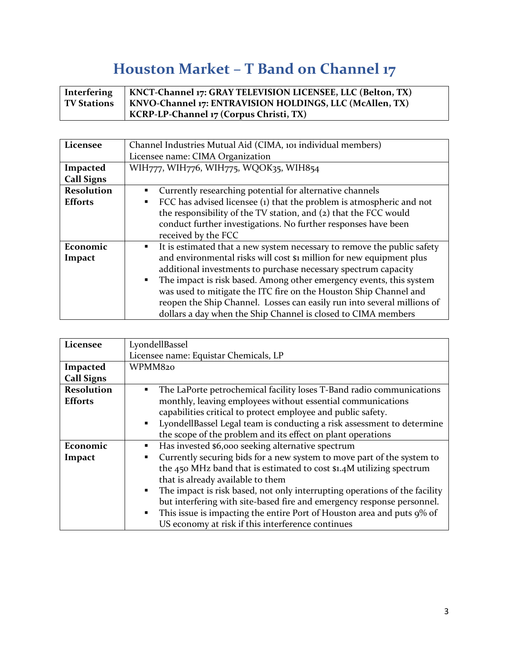## **Houston Market – T Band on Channel 17**

| Interfering        | KNCT-Channel 17: GRAY TELEVISION LICENSEE, LLC (Belton, TX) |
|--------------------|-------------------------------------------------------------|
| <b>TV Stations</b> | KNVO-Channel 17: ENTRAVISION HOLDINGS, LLC (McAllen, TX)    |
|                    | KCRP-LP-Channel 17 (Corpus Christi, TX)                     |

| Licensee          | Channel Industries Mutual Aid (CIMA, 101 individual members)                          |
|-------------------|---------------------------------------------------------------------------------------|
|                   | Licensee name: CIMA Organization                                                      |
| Impacted          | WIH777, WIH776, WIH775, WQOK35, WIH854                                                |
| <b>Call Signs</b> |                                                                                       |
| <b>Resolution</b> | Currently researching potential for alternative channels<br>٠                         |
| <b>Efforts</b>    | FCC has advised licensee (1) that the problem is atmospheric and not<br>٠             |
|                   | the responsibility of the TV station, and (2) that the FCC would                      |
|                   | conduct further investigations. No further responses have been                        |
|                   | received by the FCC                                                                   |
| Economic          | It is estimated that a new system necessary to remove the public safety<br>٠          |
| Impact            | and environmental risks will cost \$1 million for new equipment plus                  |
|                   | additional investments to purchase necessary spectrum capacity                        |
|                   | The impact is risk based. Among other emergency events, this system<br>$\blacksquare$ |
|                   | was used to mitigate the ITC fire on the Houston Ship Channel and                     |
|                   | reopen the Ship Channel. Losses can easily run into several millions of               |
|                   | dollars a day when the Ship Channel is closed to CIMA members                         |

| Licensee          | LyondellBassel                                                              |
|-------------------|-----------------------------------------------------------------------------|
|                   | Licensee name: Equistar Chemicals, LP                                       |
| Impacted          | WPMM820                                                                     |
| <b>Call Signs</b> |                                                                             |
| <b>Resolution</b> | The LaPorte petrochemical facility loses T-Band radio communications<br>٠   |
| <b>Efforts</b>    | monthly, leaving employees without essential communications                 |
|                   | capabilities critical to protect employee and public safety.                |
|                   | LyondellBassel Legal team is conducting a risk assessment to determine<br>٠ |
|                   | the scope of the problem and its effect on plant operations                 |
| Economic          | Has invested \$6,000 seeking alternative spectrum<br>п                      |
| Impact            | Currently securing bids for a new system to move part of the system to<br>٠ |
|                   | the 450 MHz band that is estimated to cost \$1.4M utilizing spectrum        |
|                   | that is already available to them                                           |
|                   | The impact is risk based, not only interrupting operations of the facility  |
|                   | but interfering with site-based fire and emergency response personnel.      |
|                   | This issue is impacting the entire Port of Houston area and puts 9% of<br>٠ |
|                   | US economy at risk if this interference continues                           |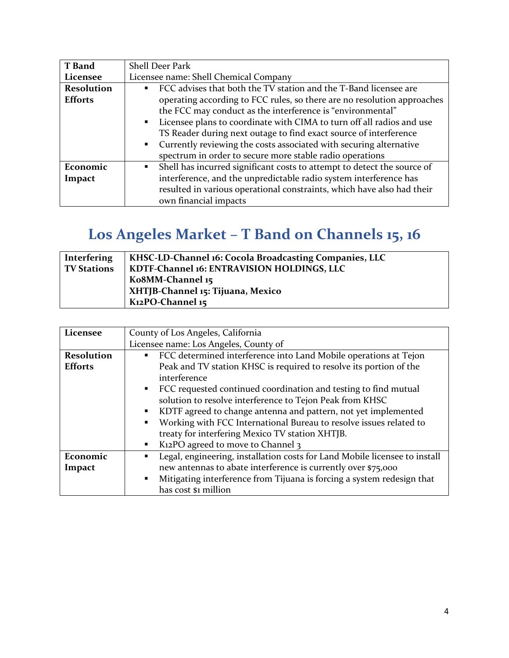| <b>T</b> Band     | <b>Shell Deer Park</b>                                                                               |
|-------------------|------------------------------------------------------------------------------------------------------|
| Licensee          | Licensee name: Shell Chemical Company                                                                |
| <b>Resolution</b> | FCC advises that both the TV station and the T-Band licensee are<br>$\blacksquare$                   |
| <b>Efforts</b>    | operating according to FCC rules, so there are no resolution approaches                              |
|                   | the FCC may conduct as the interference is "environmental"                                           |
|                   | Licensee plans to coordinate with CIMA to turn off all radios and use<br>$\blacksquare$ .            |
|                   | TS Reader during next outage to find exact source of interference                                    |
|                   | Currently reviewing the costs associated with securing alternative<br>$\mathbf{E}^{\text{max}}$      |
|                   | spectrum in order to secure more stable radio operations                                             |
| Economic          | Shell has incurred significant costs to attempt to detect the source of<br>$\mathbf{E}^{\text{max}}$ |
| Impact            | interference, and the unpredictable radio system interference has                                    |
|                   | resulted in various operational constraints, which have also had their                               |
|                   | own financial impacts                                                                                |

## **Los Angeles Market – T Band on Channels 15, 16**

| <b>Interfering</b> | KHSC-LD-Channel 16: Cocola Broadcasting Companies, LLC |
|--------------------|--------------------------------------------------------|
| <b>TV Stations</b> | KDTF-Channel 16: ENTRAVISION HOLDINGS, LLC             |
|                    | Ko8MM-Channel 15                                       |
|                    | XHTJB-Channel 15: Tijuana, Mexico                      |
|                    | K12PO-Channel 15                                       |

| Licensee          | County of Los Angeles, California                                                        |
|-------------------|------------------------------------------------------------------------------------------|
|                   | Licensee name: Los Angeles, County of                                                    |
| <b>Resolution</b> | FCC determined interference into Land Mobile operations at Tejon<br>$\blacksquare$       |
| <b>Efforts</b>    | Peak and TV station KHSC is required to resolve its portion of the                       |
|                   | interference                                                                             |
|                   | • FCC requested continued coordination and testing to find mutual                        |
|                   | solution to resolve interference to Tejon Peak from KHSC                                 |
|                   | KDTF agreed to change antenna and pattern, not yet implemented<br>٠                      |
|                   | Working with FCC International Bureau to resolve issues related to<br>٠                  |
|                   | treaty for interfering Mexico TV station XHTJB.                                          |
|                   | K <sub>12</sub> PO agreed to move to Channel 3<br>٠                                      |
| Economic          | Legal, engineering, installation costs for Land Mobile licensee to install               |
| Impact            | new antennas to abate interference is currently over \$75,000                            |
|                   | Mitigating interference from Tijuana is forcing a system redesign that<br>$\blacksquare$ |
|                   | has cost \$1 million                                                                     |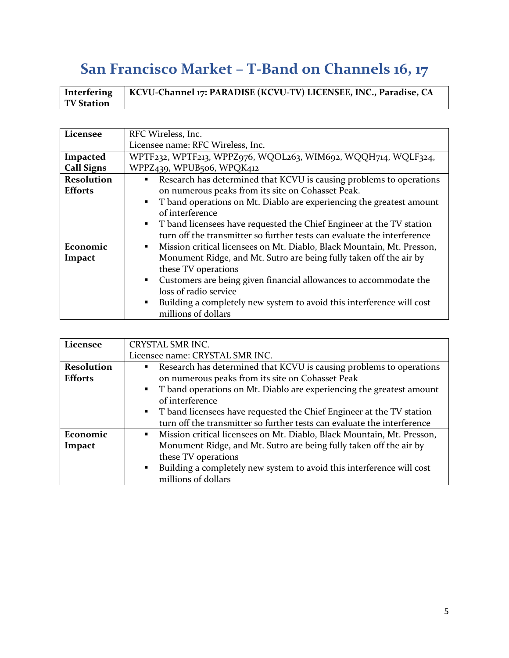## **San Francisco Market – T-Band on Channels 16, 17**

|                   | Interfering   KCVU-Channel 17: PARADISE (KCVU-TV) LICENSEE, INC., Paradise, CA |
|-------------------|--------------------------------------------------------------------------------|
| <b>TV Station</b> |                                                                                |

| Licensee          | RFC Wireless, Inc.                                                                      |
|-------------------|-----------------------------------------------------------------------------------------|
|                   | Licensee name: RFC Wireless, Inc.                                                       |
| Impacted          | WPTF232, WPTF213, WPPZ976, WQOL263, WIM692, WQQH714, WQLF324,                           |
| <b>Call Signs</b> | WPPZ439, WPUB506, WPQK412                                                               |
| <b>Resolution</b> | Research has determined that KCVU is causing problems to operations<br>٠                |
| <b>Efforts</b>    | on numerous peaks from its site on Cohasset Peak.                                       |
|                   | T band operations on Mt. Diablo are experiencing the greatest amount<br>٠               |
|                   | of interference                                                                         |
|                   | • T band licensees have requested the Chief Engineer at the TV station                  |
|                   | turn off the transmitter so further tests can evaluate the interference                 |
| Economic          | Mission critical licensees on Mt. Diablo, Black Mountain, Mt. Presson,<br>٠             |
| Impact            | Monument Ridge, and Mt. Sutro are being fully taken off the air by                      |
|                   | these TV operations                                                                     |
|                   | Customers are being given financial allowances to accommodate the<br>٠                  |
|                   | loss of radio service                                                                   |
|                   | Building a completely new system to avoid this interference will cost<br>$\blacksquare$ |
|                   | millions of dollars                                                                     |

| Licensee          | CRYSTAL SMR INC.                                                                         |
|-------------------|------------------------------------------------------------------------------------------|
|                   | Licensee name: CRYSTAL SMR INC.                                                          |
| <b>Resolution</b> | Research has determined that KCVU is causing problems to operations<br>$\blacksquare$    |
| <b>Efforts</b>    | on numerous peaks from its site on Cohasset Peak                                         |
|                   | • T band operations on Mt. Diablo are experiencing the greatest amount                   |
|                   | of interference                                                                          |
|                   | • T band licensees have requested the Chief Engineer at the TV station                   |
|                   | turn off the transmitter so further tests can evaluate the interference                  |
| Economic          | Mission critical licensees on Mt. Diablo, Black Mountain, Mt. Presson,<br>$\blacksquare$ |
| Impact            | Monument Ridge, and Mt. Sutro are being fully taken off the air by                       |
|                   | these TV operations                                                                      |
|                   | Building a completely new system to avoid this interference will cost<br>$\blacksquare$  |
|                   | millions of dollars                                                                      |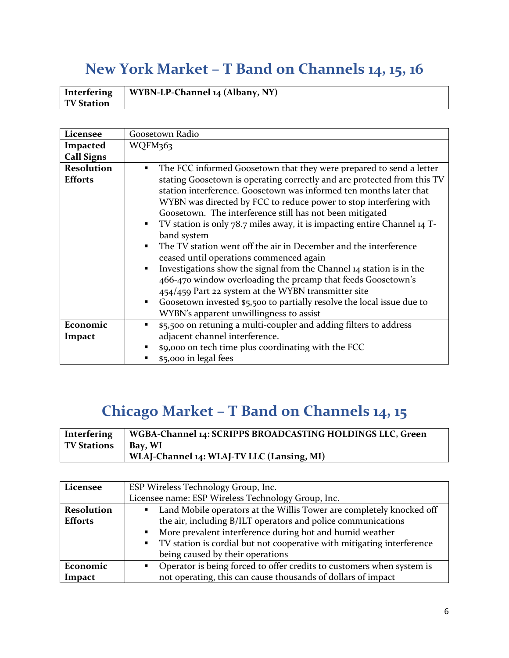## **New York Market – T Band on Channels 14, 15, 16**

|                   | Interfering   WYBN-LP-Channel 14 (Albany, NY) |
|-------------------|-----------------------------------------------|
| <b>TV Station</b> |                                               |

| Licensee          | Goosetown Radio                                                                          |
|-------------------|------------------------------------------------------------------------------------------|
| Impacted          | WQFM363                                                                                  |
| <b>Call Signs</b> |                                                                                          |
| <b>Resolution</b> | The FCC informed Goosetown that they were prepared to send a letter<br>٠                 |
| <b>Efforts</b>    | stating Goosetown is operating correctly and are protected from this TV                  |
|                   | station interference. Goosetown was informed ten months later that                       |
|                   | WYBN was directed by FCC to reduce power to stop interfering with                        |
|                   | Goosetown. The interference still has not been mitigated                                 |
|                   | TV station is only 78.7 miles away, it is impacting entire Channel 14 T-<br>٠            |
|                   | band system                                                                              |
|                   | The TV station went off the air in December and the interference<br>$\blacksquare$       |
|                   | ceased until operations commenced again                                                  |
|                   | Investigations show the signal from the Channel 14 station is in the<br>٠                |
|                   | 466-470 window overloading the preamp that feeds Goosetown's                             |
|                   | 454/459 Part 22 system at the WYBN transmitter site                                      |
|                   | Goosetown invested \$5,500 to partially resolve the local issue due to<br>$\blacksquare$ |
|                   | WYBN's apparent unwillingness to assist                                                  |
| Economic          | \$5,500 on retuning a multi-coupler and adding filters to address<br>٠                   |
| Impact            | adjacent channel interference.                                                           |
|                   | \$9,000 on tech time plus coordinating with the FCC                                      |
|                   | \$5,000 in legal fees                                                                    |

## **Chicago Market – T Band on Channels 14, 15**

| Interfering           | WGBA-Channel 14: SCRIPPS BROADCASTING HOLDINGS LLC, Green |
|-----------------------|-----------------------------------------------------------|
| TV Stations   Bay, WI |                                                           |
|                       | WLAJ-Channel 14: WLAJ-TV LLC (Lansing, MI)                |

| Licensee          | ESP Wireless Technology Group, Inc.                                                              |
|-------------------|--------------------------------------------------------------------------------------------------|
|                   | Licensee name: ESP Wireless Technology Group, Inc.                                               |
| <b>Resolution</b> | Land Mobile operators at the Willis Tower are completely knocked off<br>$\mathbf{E}(\mathbf{r})$ |
| <b>Efforts</b>    | the air, including B/ILT operators and police communications                                     |
|                   | More prevalent interference during hot and humid weather<br>$\blacksquare$ .                     |
|                   | • TV station is cordial but not cooperative with mitigating interference                         |
|                   | being caused by their operations                                                                 |
| Economic          | • Operator is being forced to offer credits to customers when system is                          |
| Impact            | not operating, this can cause thousands of dollars of impact                                     |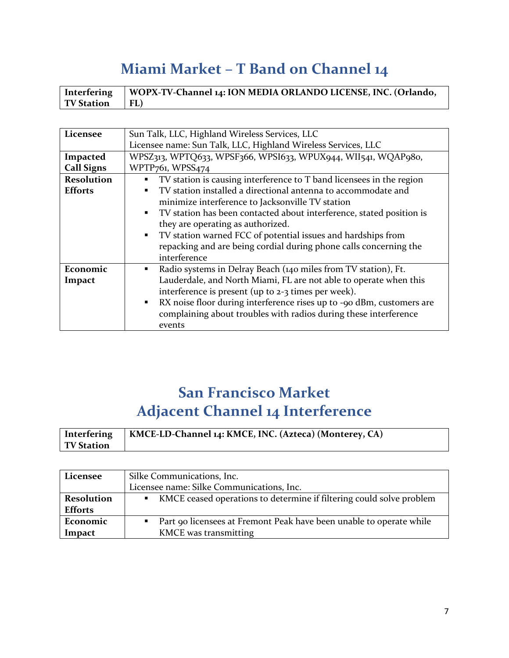## **Miami Market – T Band on Channel 14**

| Interfering          | WOPX-TV-Channel 14: ION MEDIA ORLANDO LICENSE, INC. (Orlando, |
|----------------------|---------------------------------------------------------------|
| <b>TV Station</b> FL |                                                               |

| Licensee          | Sun Talk, LLC, Highland Wireless Services, LLC                                         |
|-------------------|----------------------------------------------------------------------------------------|
|                   | Licensee name: Sun Talk, LLC, Highland Wireless Services, LLC                          |
| Impacted          | WPSZ313, WPTQ633, WPSF366, WPSI633, WPUX944, WII541, WQAP980,                          |
| <b>Call Signs</b> | WPTP761, WPSS474                                                                       |
| <b>Resolution</b> | TV station is causing interference to T band licensees in the region<br>٠              |
| <b>Efforts</b>    | TV station installed a directional antenna to accommodate and<br>٠                     |
|                   | minimize interference to Jacksonville TV station                                       |
|                   | TV station has been contacted about interference, stated position is<br>$\blacksquare$ |
|                   | they are operating as authorized.                                                      |
|                   | TV station warned FCC of potential issues and hardships from<br>$\blacksquare$ .       |
|                   | repacking and are being cordial during phone calls concerning the                      |
|                   | interference                                                                           |
| Economic          | Radio systems in Delray Beach (140 miles from TV station), Ft.<br>٠                    |
| Impact            | Lauderdale, and North Miami, FL are not able to operate when this                      |
|                   | interference is present (up to 2-3 times per week).                                    |
|                   | RX noise floor during interference rises up to -90 dBm, customers are<br>٠             |
|                   | complaining about troubles with radios during these interference                       |
|                   | events                                                                                 |

#### **San Francisco Market Adjacent Channel 14 Interference**

| Interfering       | KMCE-LD-Channel 14: KMCE, INC. (Azteca) (Monterey, CA) |
|-------------------|--------------------------------------------------------|
| <b>TV Station</b> |                                                        |

| Licensee                            | Silke Communications, Inc.                                                                   |
|-------------------------------------|----------------------------------------------------------------------------------------------|
|                                     | Licensee name: Silke Communications, Inc.                                                    |
| <b>Resolution</b><br><b>Efforts</b> | KMCE ceased operations to determine if filtering could solve problem                         |
| Economic<br>Impact                  | Part 90 licensees at Fremont Peak have been unable to operate while<br>KMCE was transmitting |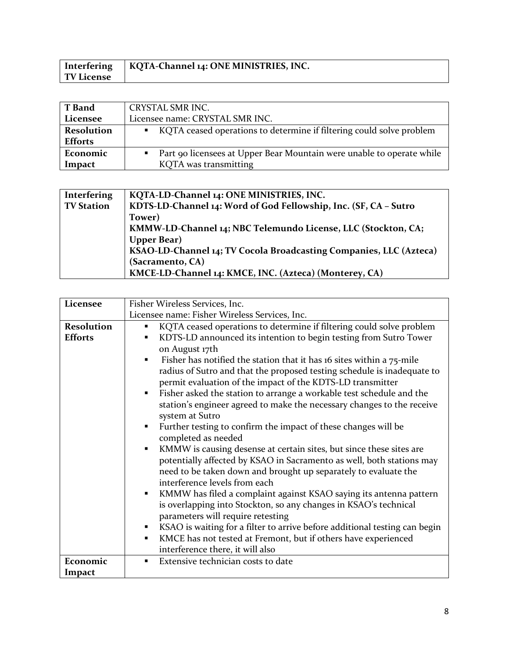|                   | Interfering   KQTA-Channel 14: ONE MINISTRIES, INC. |
|-------------------|-----------------------------------------------------|
| <b>TV License</b> |                                                     |

| <b>T</b> Band     | CRYSTAL SMR INC.                                                      |
|-------------------|-----------------------------------------------------------------------|
| Licensee          | Licensee name: CRYSTAL SMR INC.                                       |
| <b>Resolution</b> | KQTA ceased operations to determine if filtering could solve problem  |
| <b>Efforts</b>    |                                                                       |
| Economic          | Part 90 licensees at Upper Bear Mountain were unable to operate while |
| Impact            | KQTA was transmitting                                                 |

| Interfering       | KQTA-LD-Channel 14: ONE MINISTRIES, INC.                           |
|-------------------|--------------------------------------------------------------------|
| <b>TV Station</b> | KDTS-LD-Channel 14: Word of God Fellowship, Inc. (SF, CA - Sutro   |
|                   | Tower)                                                             |
|                   | KMMW-LD-Channel 14; NBC Telemundo License, LLC (Stockton, CA;      |
|                   | <b>Upper Bear</b> )                                                |
|                   | KSAO-LD-Channel 14; TV Cocola Broadcasting Companies, LLC (Azteca) |
|                   | (Sacramento, CA)                                                   |
|                   | KMCE-LD-Channel 14: KMCE, INC. (Azteca) (Monterey, CA)             |

| Licensee                            | Fisher Wireless Services, Inc.                                                                                                                                                                                                                                                                                                                                                                                                                                                                                                                                                                                                                                                                                                                                                                                                                                                                                                                                                                                                                                                                                                                                                                               |
|-------------------------------------|--------------------------------------------------------------------------------------------------------------------------------------------------------------------------------------------------------------------------------------------------------------------------------------------------------------------------------------------------------------------------------------------------------------------------------------------------------------------------------------------------------------------------------------------------------------------------------------------------------------------------------------------------------------------------------------------------------------------------------------------------------------------------------------------------------------------------------------------------------------------------------------------------------------------------------------------------------------------------------------------------------------------------------------------------------------------------------------------------------------------------------------------------------------------------------------------------------------|
|                                     | Licensee name: Fisher Wireless Services, Inc.                                                                                                                                                                                                                                                                                                                                                                                                                                                                                                                                                                                                                                                                                                                                                                                                                                                                                                                                                                                                                                                                                                                                                                |
| <b>Resolution</b><br><b>Efforts</b> | KQTA ceased operations to determine if filtering could solve problem<br>٠<br>KDTS-LD announced its intention to begin testing from Sutro Tower<br>٠<br>on August 17th<br>Fisher has notified the station that it has 16 sites within a 75-mile<br>radius of Sutro and that the proposed testing schedule is inadequate to<br>permit evaluation of the impact of the KDTS-LD transmitter<br>Fisher asked the station to arrange a workable test schedule and the<br>٠<br>station's engineer agreed to make the necessary changes to the receive<br>system at Sutro<br>Further testing to confirm the impact of these changes will be<br>$\blacksquare$<br>completed as needed<br>KMMW is causing desense at certain sites, but since these sites are<br>٠<br>potentially affected by KSAO in Sacramento as well, both stations may<br>need to be taken down and brought up separately to evaluate the<br>interference levels from each<br>KMMW has filed a complaint against KSAO saying its antenna pattern<br>٠<br>is overlapping into Stockton, so any changes in KSAO's technical<br>parameters will require retesting<br>KSAO is waiting for a filter to arrive before additional testing can begin<br>٠ |
|                                     | KMCE has not tested at Fremont, but if others have experienced<br>Ξ<br>interference there, it will also                                                                                                                                                                                                                                                                                                                                                                                                                                                                                                                                                                                                                                                                                                                                                                                                                                                                                                                                                                                                                                                                                                      |
| Economic                            | Extensive technician costs to date<br>٠                                                                                                                                                                                                                                                                                                                                                                                                                                                                                                                                                                                                                                                                                                                                                                                                                                                                                                                                                                                                                                                                                                                                                                      |
| Impact                              |                                                                                                                                                                                                                                                                                                                                                                                                                                                                                                                                                                                                                                                                                                                                                                                                                                                                                                                                                                                                                                                                                                                                                                                                              |